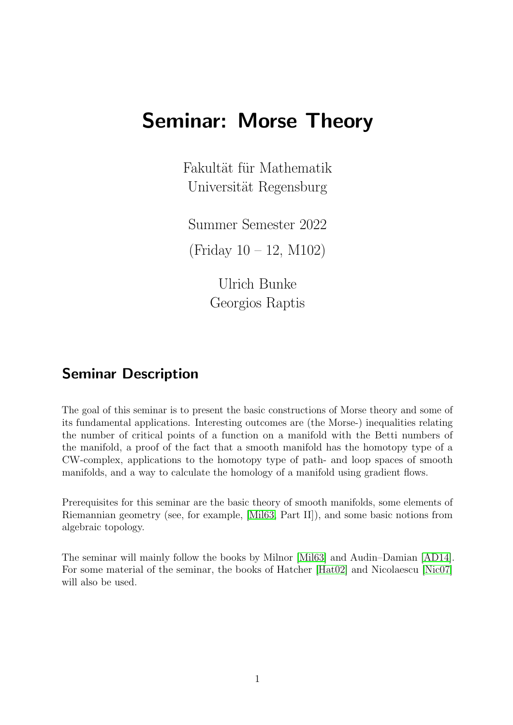# Seminar: Morse Theory

Fakultät für Mathematik Universität Regensburg

Summer Semester 2022

(Friday 10 – 12, M102)

Ulrich Bunke Georgios Raptis

# Seminar Description

The goal of this seminar is to present the basic constructions of Morse theory and some of its fundamental applications. Interesting outcomes are (the Morse-) inequalities relating the number of critical points of a function on a manifold with the Betti numbers of the manifold, a proof of the fact that a smooth manifold has the homotopy type of a CW-complex, applications to the homotopy type of path- and loop spaces of smooth manifolds, and a way to calculate the homology of a manifold using gradient flows.

Prerequisites for this seminar are the basic theory of smooth manifolds, some elements of Riemannian geometry (see, for example, [\[Mil63,](#page-4-0) Part II]), and some basic notions from algebraic topology.

The seminar will mainly follow the books by Milnor [\[Mil63\]](#page-4-0) and Audin–Damian [\[AD14\]](#page-4-1). For some material of the seminar, the books of Hatcher [\[Hat02\]](#page-4-2) and Nicolaescu [\[Nic07\]](#page-4-3) will also be used.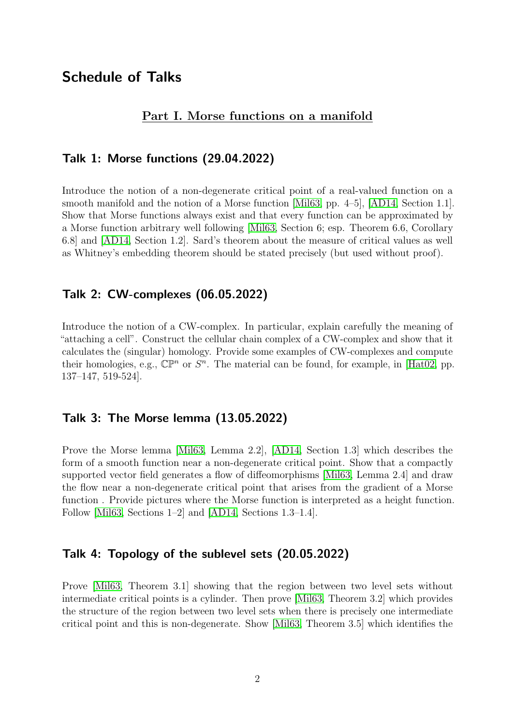# Schedule of Talks

#### Part I. Morse functions on a manifold

#### Talk 1: Morse functions (29.04.2022)

Introduce the notion of a non-degenerate critical point of a real-valued function on a smooth manifold and the notion of a Morse function [\[Mil63,](#page-4-0) pp. 4–5], [\[AD14,](#page-4-1) Section 1.1]. Show that Morse functions always exist and that every function can be approximated by a Morse function arbitrary well following [\[Mil63,](#page-4-0) Section 6; esp. Theorem 6.6, Corollary 6.8] and [\[AD14,](#page-4-1) Section 1.2]. Sard's theorem about the measure of critical values as well as Whitney's embedding theorem should be stated precisely (but used without proof).

## Talk 2: CW-complexes (06.05.2022)

Introduce the notion of a CW-complex. In particular, explain carefully the meaning of "attaching a cell". Construct the cellular chain complex of a CW-complex and show that it calculates the (singular) homology. Provide some examples of CW-complexes and compute their homologies, e.g.,  $\mathbb{CP}^n$  or  $S^n$ . The material can be found, for example, in [\[Hat02,](#page-4-2) pp. 137–147, 519-524].

#### Talk 3: The Morse lemma (13.05.2022)

Prove the Morse lemma [\[Mil63,](#page-4-0) Lemma 2.2], [\[AD14,](#page-4-1) Section 1.3] which describes the form of a smooth function near a non-degenerate critical point. Show that a compactly supported vector field generates a flow of diffeomorphisms [\[Mil63,](#page-4-0) Lemma 2.4] and draw the flow near a non-degenerate critical point that arises from the gradient of a Morse function . Provide pictures where the Morse function is interpreted as a height function. Follow [\[Mil63,](#page-4-0) Sections 1–2] and [\[AD14,](#page-4-1) Sections 1.3–1.4].

#### Talk 4: Topology of the sublevel sets (20.05.2022)

Prove [\[Mil63,](#page-4-0) Theorem 3.1] showing that the region between two level sets without intermediate critical points is a cylinder. Then prove [\[Mil63,](#page-4-0) Theorem 3.2] which provides the structure of the region between two level sets when there is precisely one intermediate critical point and this is non-degenerate. Show [\[Mil63,](#page-4-0) Theorem 3.5] which identifies the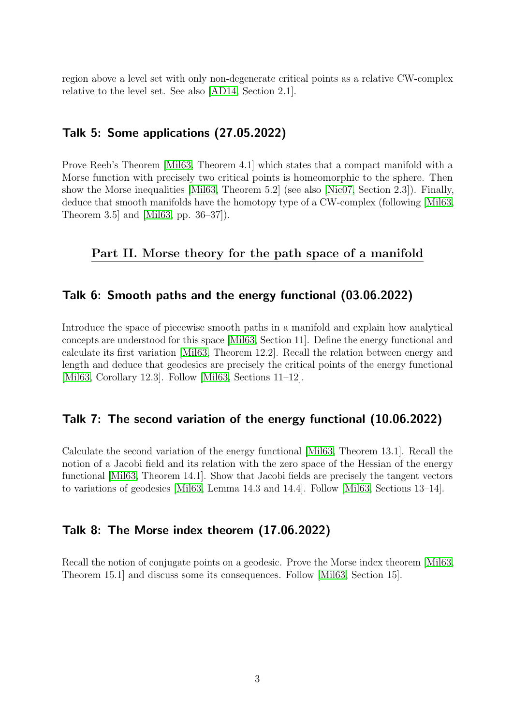region above a level set with only non-degenerate critical points as a relative CW-complex relative to the level set. See also [\[AD14,](#page-4-1) Section 2.1].

### Talk 5: Some applications (27.05.2022)

Prove Reeb's Theorem [\[Mil63,](#page-4-0) Theorem 4.1] which states that a compact manifold with a Morse function with precisely two critical points is homeomorphic to the sphere. Then show the Morse inequalities [\[Mil63,](#page-4-0) Theorem 5.2] (see also [\[Nic07,](#page-4-3) Section 2.3]). Finally, deduce that smooth manifolds have the homotopy type of a CW-complex (following [\[Mil63,](#page-4-0) Theorem 3.5] and [\[Mil63,](#page-4-0) pp. 36–37]).

#### Part II. Morse theory for the path space of a manifold

#### Talk 6: Smooth paths and the energy functional (03.06.2022)

Introduce the space of piecewise smooth paths in a manifold and explain how analytical concepts are understood for this space [\[Mil63,](#page-4-0) Section 11]. Define the energy functional and calculate its first variation [\[Mil63,](#page-4-0) Theorem 12.2]. Recall the relation between energy and length and deduce that geodesics are precisely the critical points of the energy functional [\[Mil63,](#page-4-0) Corollary 12.3]. Follow [\[Mil63,](#page-4-0) Sections 11–12].

#### Talk 7: The second variation of the energy functional (10.06.2022)

Calculate the second variation of the energy functional [\[Mil63,](#page-4-0) Theorem 13.1]. Recall the notion of a Jacobi field and its relation with the zero space of the Hessian of the energy functional [\[Mil63,](#page-4-0) Theorem 14.1]. Show that Jacobi fields are precisely the tangent vectors to variations of geodesics [\[Mil63,](#page-4-0) Lemma 14.3 and 14.4]. Follow [\[Mil63,](#page-4-0) Sections 13–14].

#### Talk 8: The Morse index theorem (17.06.2022)

Recall the notion of conjugate points on a geodesic. Prove the Morse index theorem [\[Mil63,](#page-4-0) Theorem 15.1] and discuss some its consequences. Follow [\[Mil63,](#page-4-0) Section 15].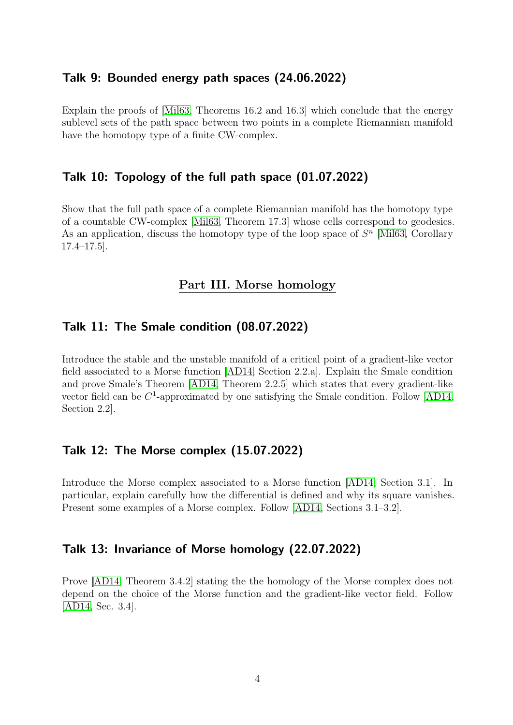#### Talk 9: Bounded energy path spaces (24.06.2022)

Explain the proofs of [\[Mil63,](#page-4-0) Theorems 16.2 and 16.3] which conclude that the energy sublevel sets of the path space between two points in a complete Riemannian manifold have the homotopy type of a finite CW-complex.

### Talk 10: Topology of the full path space (01.07.2022)

Show that the full path space of a complete Riemannian manifold has the homotopy type of a countable CW-complex [\[Mil63,](#page-4-0) Theorem 17.3] whose cells correspond to geodesics. As an application, discuss the homotopy type of the loop space of  $S<sup>n</sup>$  [\[Mil63,](#page-4-0) Corollary 17.4–17.5].

#### Part III. Morse homology

### Talk 11: The Smale condition (08.07.2022)

Introduce the stable and the unstable manifold of a critical point of a gradient-like vector field associated to a Morse function [\[AD14,](#page-4-1) Section 2.2.a]. Explain the Smale condition and prove Smale's Theorem [\[AD14,](#page-4-1) Theorem 2.2.5] which states that every gradient-like vector field can be  $C^1$ -approximated by one satisfying the Smale condition. Follow [\[AD14,](#page-4-1) Section 2.2].

## Talk 12: The Morse complex (15.07.2022)

Introduce the Morse complex associated to a Morse function [\[AD14,](#page-4-1) Section 3.1]. In particular, explain carefully how the differential is defined and why its square vanishes. Present some examples of a Morse complex. Follow [\[AD14,](#page-4-1) Sections 3.1–3.2].

#### Talk 13: Invariance of Morse homology (22.07.2022)

Prove [\[AD14,](#page-4-1) Theorem 3.4.2] stating the the homology of the Morse complex does not depend on the choice of the Morse function and the gradient-like vector field. Follow [\[AD14,](#page-4-1) Sec. 3.4].